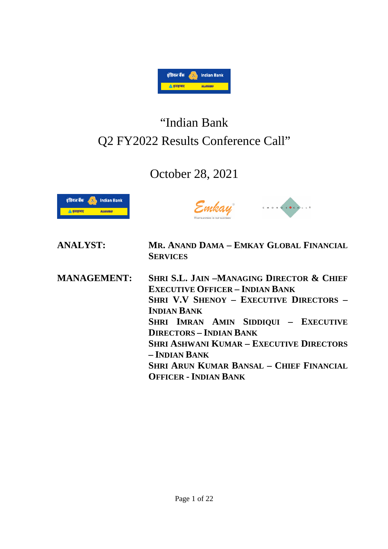

# "Indian Bank Q2 FY2022 Results Conference Call"

# October 28, 2021





| <b>ANALYST:</b>    | MR. ANAND DAMA - EMKAY GLOBAL FINANCIAL<br><b>SERVICES</b>                                                                                                                                                                                                                                                                                                                                              |
|--------------------|---------------------------------------------------------------------------------------------------------------------------------------------------------------------------------------------------------------------------------------------------------------------------------------------------------------------------------------------------------------------------------------------------------|
| <b>MANAGEMENT:</b> | <b>SHRI S.L. JAIN -MANAGING DIRECTOR &amp; CHIEF</b><br><b>EXECUTIVE OFFICER - INDIAN BANK</b><br><b>SHRI V.V SHENOY - EXECUTIVE DIRECTORS -</b><br><b>INDIAN BANK</b><br>SHRI IMRAN AMIN SIDDIQUI - EXECUTIVE<br><b>DIRECTORS - INDIAN BANK</b><br><b>SHRI ASHWANI KUMAR - EXECUTIVE DIRECTORS</b><br>– INDIAN BANK<br><b>SHRI ARUN KUMAR BANSAL - CHIEF FINANCIAL</b><br><b>OFFICER - INDIAN BANK</b> |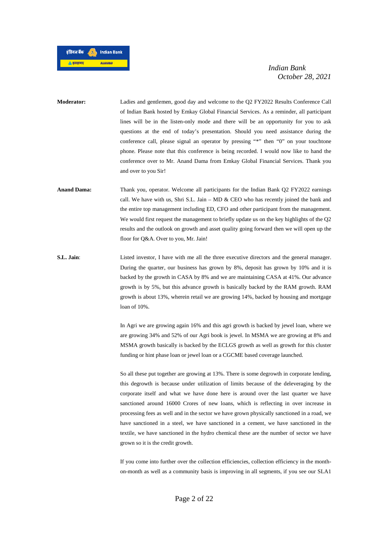

**Moderator:** Ladies and gentlemen, good day and welcome to the Q2 FY2022 Results Conference Call of Indian Bank hosted by Emkay Global Financial Services. As a reminder, all participant lines will be in the listen-only mode and there will be an opportunity for you to ask questions at the end of today's presentation. Should you need assistance during the conference call, please signal an operator by pressing "\*" then "0" on your touchtone phone. Please note that this conference is being recorded. I would now like to hand the conference over to Mr. Anand Dama from Emkay Global Financial Services. Thank you and over to you Sir!

- **Anand Dama:** Thank you, operator. Welcome all participants for the Indian Bank Q2 FY2022 earnings call. We have with us, Shri S.L. Jain – MD  $&$  CEO who has recently joined the bank and the entire top management including ED, CFO and other participant from the management. We would first request the management to briefly update us on the key highlights of the O2 results and the outlook on growth and asset quality going forward then we will open up the floor for Q&A. Over to you, Mr. Jain!
- **S.L. Jain:** Listed investor, I have with me all the three executive directors and the general manager. During the quarter, our business has grown by 8%, deposit has grown by 10% and it is backed by the growth in CASA by 8% and we are maintaining CASA at 41%. Our advance growth is by 5%, but this advance growth is basically backed by the RAM growth. RAM growth is about 13%, wherein retail we are growing 14%, backed by housing and mortgage loan of 10%.

In Agri we are growing again 16% and this agri growth is backed by jewel loan, where we are growing 34% and 52% of our Agri book is jewel. In MSMA we are growing at 8% and MSMA growth basically is backed by the ECLGS growth as well as growth for this cluster funding or hint phase loan or jewel loan or a CGCME based coverage launched.

So all these put together are growing at 13%. There is some degrowth in corporate lending, this degrowth is because under utilization of limits because of the deleveraging by the corporate itself and what we have done here is around over the last quarter we have sanctioned around 16000 Crores of new loans, which is reflecting in over increase in processing fees as well and in the sector we have grown physically sanctioned in a road, we have sanctioned in a steel, we have sanctioned in a cement, we have sanctioned in the textile, we have sanctioned in the hydro chemical these are the number of sector we have grown so it is the credit growth.

If you come into further over the collection efficiencies, collection efficiency in the monthon-month as well as a community basis is improving in all segments, if you see our SLA1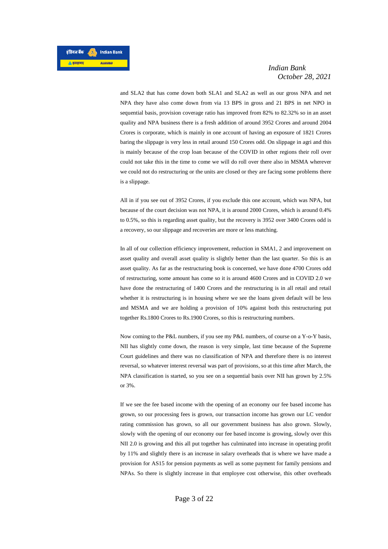

and SLA2 that has come down both SLA1 and SLA2 as well as our gross NPA and net NPA they have also come down from via 13 BPS in gross and 21 BPS in net NPO in sequential basis, provision coverage ratio has improved from 82% to 82.32% so in an asset quality and NPA business there is a fresh addition of around 3952 Crores and around 2004 Crores is corporate, which is mainly in one account of having an exposure of 1821 Crores baring the slippage is very less in retail around 150 Crores odd. On slippage in agri and this is mainly because of the crop loan because of the COVID in other regions their roll over could not take this in the time to come we will do roll over there also in MSMA wherever we could not do restructuring or the units are closed or they are facing some problems there is a slippage.

All in if you see out of 3952 Crores, if you exclude this one account, which was NPA, but because of the court decision was not NPA, it is around 2000 Crores, which is around 0.4% to 0.5%, so this is regarding asset quality, but the recovery is 3952 over 3400 Crores odd is a recovery, so our slippage and recoveries are more or less matching.

In all of our collection efficiency improvement, reduction in SMA1, 2 and improvement on asset quality and overall asset quality is slightly better than the last quarter. So this is an asset quality. As far as the restructuring book is concerned, we have done 4700 Crores odd of restructuring, some amount has come so it is around 4600 Crores and in COVID 2.0 we have done the restructuring of 1400 Crores and the restructuring is in all retail and retail whether it is restructuring is in housing where we see the loans given default will be less and MSMA and we are holding a provision of 10% against both this restructuring put together Rs.1800 Crores to Rs.1900 Crores, so this is restructuring numbers.

Now coming to the P&L numbers, if you see my P&L numbers, of course on a Y-o-Y basis, NII has slightly come down, the reason is very simple, last time because of the Supreme Court guidelines and there was no classification of NPA and therefore there is no interest reversal, so whatever interest reversal was part of provisions, so at this time after March, the NPA classification is started, so you see on a sequential basis over NII has grown by 2.5% or 3%.

If we see the fee based income with the opening of an economy our fee based income has grown, so our processing fees is grown, our transaction income has grown our LC vendor rating commission has grown, so all our government business has also grown. Slowly, slowly with the opening of our economy our fee based income is growing, slowly over this NII 2.0 is growing and this all put together has culminated into increase in operating profit by 11% and slightly there is an increase in salary overheads that is where we have made a provision for AS15 for pension payments as well as some payment for family pensions and NPAs. So there is slightly increase in that employee cost otherwise, this other overheads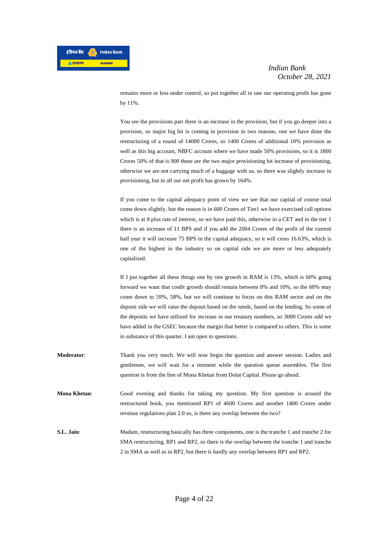

remains more or less under control, so put together all in one our operating profit has gone by 11%.

You see the provisions part there is an increase in the provision, but if you go deeper into a provision, so major big hit is coming in provision in two reasons, one we have done the restructuring of a round of 14000 Crores, so 1400 Crores of additional 10% provision as well as this big account, NBFC account where we have made 50% provisions, so it is 1800 Crores 50% of that is 900 these are the two major provisioning hit increase of provisioning, otherwise we are not carrying much of a baggage with us, so there was slightly increase in provisioning, but in all our net profit has grown by 164%.

If you come to the capital adequacy point of view we see that our capital of course total come down slightly, but the reason is in 600 Crores of Tier1 we have exercised call options which is at 8 plus rate of interest, so we have paid this, otherwise in a CET and in the tier 1 there is an increase of 11 BPS and if you add the 2004 Crores of the profit of the current half year it will increase 75 BPS in the capital adequacy, so it will cross 16.63%, which is one of the highest in the industry so on capital side we are more or less adequately capitalized.

If I put together all these things one by one growth in RAM is 13%, which is 60% going forward we want that credit growth should remain between 8% and 10%, so the 60% may come down to 59%, 58%, but we will continue to focus on this RAM sector and on the deposit side we will raise the deposit based on the needs, based on the lending. So some of the deposits we have utilized for increase in our treasury numbers, so 3000 Crores odd we have added in the GSEC because the margin that better is compared to others. This is some in substance of this quarter. I am open to questions.

- **Moderator**: Thank you very much. We will now begin the question and answer session. Ladies and gentlemen, we will wait for a moment while the question queue assembles. The first question is from the line of Mona Khetan from Dolat Capital. Please go ahead.
- **Mona Khetan**: Good evening and thanks for taking my question. My first question is around the restructured book, you mentioned RP1 of 4600 Crores and another 1400 Crores under revenue regulations plan 2.0 so, is there any overlap between the two?

**S.L. Jain:** Madam, restructuring basically has three components, one is the tranche 1 and tranche 2 for SMA restructuring, RP1 and RP2, so there is the overlap between the tranche 1 and tranche 2 in SMA as well as in RP2, but there is hardly any overlap between RP1 and RP2.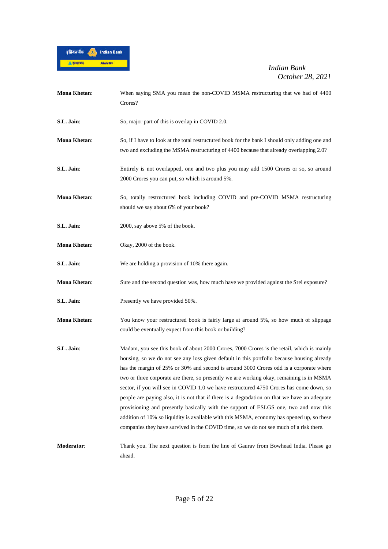

| <b>Mona Khetan:</b> | When saying SMA you mean the non-COVID MSMA restructuring that we had of 4400<br>Crores?                                                                                                                                                                                                                                                                                                                                                                                                                                                                                                                                                                                                                                                                                                                                                                |
|---------------------|---------------------------------------------------------------------------------------------------------------------------------------------------------------------------------------------------------------------------------------------------------------------------------------------------------------------------------------------------------------------------------------------------------------------------------------------------------------------------------------------------------------------------------------------------------------------------------------------------------------------------------------------------------------------------------------------------------------------------------------------------------------------------------------------------------------------------------------------------------|
| S.L. Jain:          | So, major part of this is overlap in COVID 2.0.                                                                                                                                                                                                                                                                                                                                                                                                                                                                                                                                                                                                                                                                                                                                                                                                         |
| <b>Mona Khetan:</b> | So, if I have to look at the total restructured book for the bank I should only adding one and<br>two and excluding the MSMA restructuring of 4400 because that already overlapping 2.0?                                                                                                                                                                                                                                                                                                                                                                                                                                                                                                                                                                                                                                                                |
| S.L. Jain:          | Entirely is not overlapped, one and two plus you may add 1500 Crores or so, so around<br>2000 Crores you can put, so which is around 5%.                                                                                                                                                                                                                                                                                                                                                                                                                                                                                                                                                                                                                                                                                                                |
| <b>Mona Khetan:</b> | So, totally restructured book including COVID and pre-COVID MSMA restructuring<br>should we say about 6% of your book?                                                                                                                                                                                                                                                                                                                                                                                                                                                                                                                                                                                                                                                                                                                                  |
| S.L. Jain:          | 2000, say above 5% of the book.                                                                                                                                                                                                                                                                                                                                                                                                                                                                                                                                                                                                                                                                                                                                                                                                                         |
| <b>Mona Khetan:</b> | Okay, 2000 of the book.                                                                                                                                                                                                                                                                                                                                                                                                                                                                                                                                                                                                                                                                                                                                                                                                                                 |
| S.L. Jain:          | We are holding a provision of 10% there again.                                                                                                                                                                                                                                                                                                                                                                                                                                                                                                                                                                                                                                                                                                                                                                                                          |
| <b>Mona Khetan:</b> | Sure and the second question was, how much have we provided against the Srei exposure?                                                                                                                                                                                                                                                                                                                                                                                                                                                                                                                                                                                                                                                                                                                                                                  |
| S.L. Jain:          | Presently we have provided 50%.                                                                                                                                                                                                                                                                                                                                                                                                                                                                                                                                                                                                                                                                                                                                                                                                                         |
| <b>Mona Khetan:</b> | You know your restructured book is fairly large at around 5%, so how much of slippage<br>could be eventually expect from this book or building?                                                                                                                                                                                                                                                                                                                                                                                                                                                                                                                                                                                                                                                                                                         |
| S.L. Jain:          | Madam, you see this book of about 2000 Crores, 7000 Crores is the retail, which is mainly<br>housing, so we do not see any loss given default in this portfolio because housing already<br>has the margin of 25% or 30% and second is around 3000 Crores odd is a corporate where<br>two or three corporate are there, so presently we are working okay, remaining is in MSMA<br>sector, if you will see in COVID 1.0 we have restructured 4750 Crores has come down, so<br>people are paying also, it is not that if there is a degradation on that we have an adequate<br>provisioning and presently basically with the support of ESLGS one, two and now this<br>addition of 10% so liquidity is available with this MSMA, economy has opened up, so these<br>companies they have survived in the COVID time, so we do not see much of a risk there. |
| Moderator:          | Thank you. The next question is from the line of Gaurav from Bowhead India. Please go<br>ahead.                                                                                                                                                                                                                                                                                                                                                                                                                                                                                                                                                                                                                                                                                                                                                         |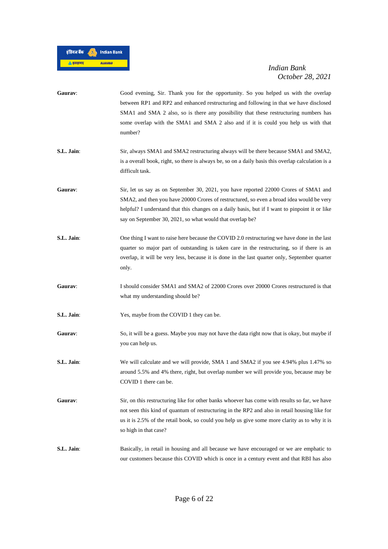

| Gaurav:    | Good evening, Sir. Thank you for the opportunity. So you helped us with the overlap<br>between RP1 and RP2 and enhanced restructuring and following in that we have disclosed<br>SMA1 and SMA 2 also, so is there any possibility that these restructuring numbers has<br>some overlap with the SMA1 and SMA 2 also and if it is could you help us with that<br>number? |
|------------|-------------------------------------------------------------------------------------------------------------------------------------------------------------------------------------------------------------------------------------------------------------------------------------------------------------------------------------------------------------------------|
| S.L. Jain: | Sir, always SMA1 and SMA2 restructuring always will be there because SMA1 and SMA2,<br>is a overall book, right, so there is always be, so on a daily basis this overlap calculation is a<br>difficult task.                                                                                                                                                            |
| Gaurav:    | Sir, let us say as on September 30, 2021, you have reported 22000 Crores of SMA1 and<br>SMA2, and then you have 20000 Crores of restructured, so even a broad idea would be very<br>helpful? I understand that this changes on a daily basis, but if I want to pinpoint it or like<br>say on September 30, 2021, so what would that overlap be?                         |
| S.L. Jain: | One thing I want to raise here because the COVID 2.0 restructuring we have done in the last<br>quarter so major part of outstanding is taken care in the restructuring, so if there is an<br>overlap, it will be very less, because it is done in the last quarter only, September quarter<br>only.                                                                     |
| Gaurav:    | I should consider SMA1 and SMA2 of 22000 Crores over 20000 Crores restructured is that<br>what my understanding should be?                                                                                                                                                                                                                                              |
| S.L. Jain: | Yes, maybe from the COVID 1 they can be.                                                                                                                                                                                                                                                                                                                                |
| Gaurav:    | So, it will be a guess. Maybe you may not have the data right now that is okay, but maybe if<br>you can help us.                                                                                                                                                                                                                                                        |
| S.L. Jain: | We will calculate and we will provide, SMA 1 and SMA2 if you see 4.94% plus 1.47% so<br>around 5.5% and 4% there, right, but overlap number we will provide you, because may be<br>COVID 1 there can be.                                                                                                                                                                |
| Gaurav:    | Sir, on this restructuring like for other banks whoever has come with results so far, we have<br>not seen this kind of quantum of restructuring in the RP2 and also in retail housing like for<br>us it is 2.5% of the retail book, so could you help us give some more clarity as to why it is<br>so high in that case?                                                |
| S.L. Jain: | Basically, in retail in housing and all because we have encouraged or we are emphatic to<br>our customers because this COVID which is once in a century event and that RBI has also                                                                                                                                                                                     |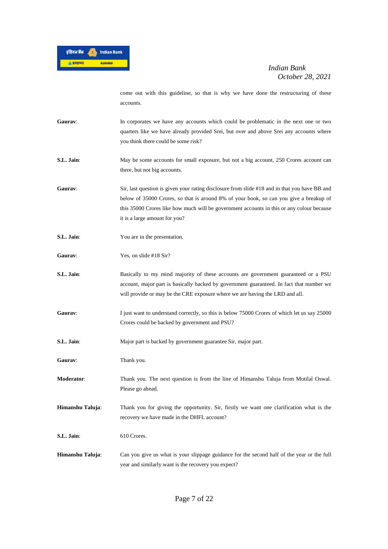

come out with this guideline, so that is why we have done the restructuring of these accounts.

- Gaurav: In corporates we have any accounts which could be problematic in the next one or two quarters like we have already provided Srei, but over and above Srei any accounts where you think there could be some risk?
- **S.L. Jain**: May be some accounts for small exposure, but not a big account, 250 Crores account can there, but not big accounts.
- **Gaurav**: Sir, last question is given your rating disclosure from slide #18 and in that you have BB and below of 35000 Crores, so that is around 8% of your book, so can you give a breakup of this 35000 Crores like how much will be government accounts in this or any colour because it is a large amount for you?
- **S.L. Jain:** You are in the presentation.
- Gaurav: Yes, on slide #18 Sir?
- **S.L. Jain:** Basically to my mind majority of these accounts are government guaranteed or a PSU account, major part is basically backed by government guaranteed. In fact that number we will provide or may be the CRE exposure where we are having the LRD and all.
- Gaurav: I just want to understand correctly, so this is below 75000 Crores of which let us say 25000 Crores could be backed by government and PSU?
- **S.L. Jain**: Major part is backed by government guarantee Sir, major part.
- **Gaurav**: Thank you.
- **Moderator**: Thank you. The next question is from the line of Himanshu Taluja from Motilal Oswal. Please go ahead.
- **Himanshu Taluja**: Thank you for giving the opportunity. Sir, firstly we want one clarification what is the recovery we have made in the DHFL account?
- **S.L. Jain**: 610 Crores.
- **Himanshu Taluja**: Can you give us what is your slippage guidance for the second half of the year or the full year and similarly want is the recovery you expect?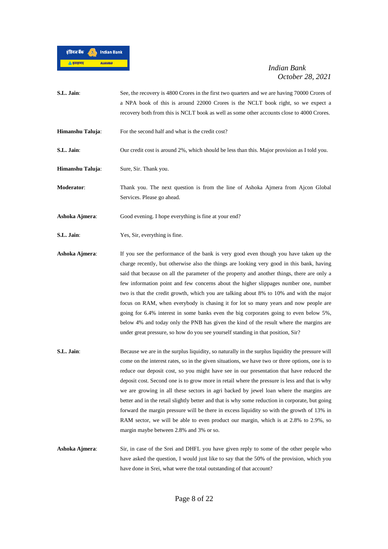

- **S.L. Jain:** See, the recovery is 4800 Crores in the first two quarters and we are having 70000 Crores of a NPA book of this is around 22000 Crores is the NCLT book right, so we expect a recovery both from this is NCLT book as well as some other accounts close to 4000 Crores.
- **Himanshu Taluja:** For the second half and what is the credit cost?
- **S.L. Jain:** Our credit cost is around 2%, which should be less than this. Major provision as I told you.
- **Himanshu Taluja:** Sure, Sir. Thank you.

**Moderator**: Thank you. The next question is from the line of Ashoka Ajmera from Ajcon Global Services. Please go ahead.

- Ashoka Ajmera: Good evening. I hope everything is fine at your end?
- **S.L. Jain**: Yes, Sir, everything is fine.

**Ashoka Ajmera**: If you see the performance of the bank is very good even though you have taken up the charge recently, but otherwise also the things are looking very good in this bank, having said that because on all the parameter of the property and another things, there are only a few information point and few concerns about the higher slippages number one, number two is that the credit growth, which you are talking about 8% to 10% and with the major focus on RAM, when everybody is chasing it for lot so many years and now people are going for 6.4% interest in some banks even the big corporates going to even below 5%, below 4% and today only the PNB has given the kind of the result where the margins are under great pressure, so how do you see yourself standing in that position, Sir?

**S.L. Jain:** Because we are in the surplus liquidity, so naturally in the surplus liquidity the pressure will come on the interest rates, so in the given situations, we have two or three options, one is to reduce our deposit cost, so you might have see in our presentation that have reduced the deposit cost. Second one is to grow more in retail where the pressure is less and that is why we are growing in all these sectors in agri backed by jewel loan where the margins are better and in the retail slightly better and that is why some reduction in corporate, but going forward the margin pressure will be there in excess liquidity so with the growth of 13% in RAM sector, we will be able to even product our margin, which is at 2.8% to 2.9%, so margin maybe between 2.8% and 3% or so.

**Ashoka Ajmera**: Sir, in case of the Srei and DHFL you have given reply to some of the other people who have asked the question, I would just like to say that the 50% of the provision, which you have done in Srei, what were the total outstanding of that account?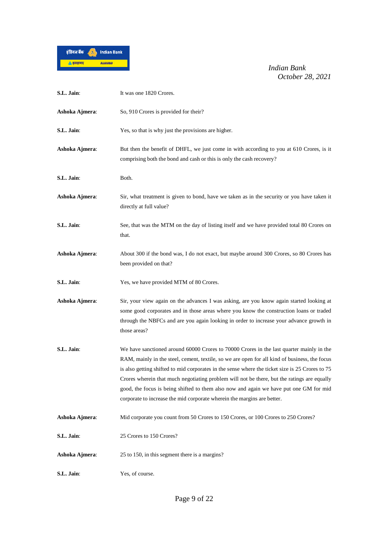

| S.L. Jain:     | It was one 1820 Crores.                                                                                                                                                                                                                                                                                                                                                                                                                                                                                                                                          |
|----------------|------------------------------------------------------------------------------------------------------------------------------------------------------------------------------------------------------------------------------------------------------------------------------------------------------------------------------------------------------------------------------------------------------------------------------------------------------------------------------------------------------------------------------------------------------------------|
| Ashoka Ajmera: | So, 910 Crores is provided for their?                                                                                                                                                                                                                                                                                                                                                                                                                                                                                                                            |
| S.L. Jain:     | Yes, so that is why just the provisions are higher.                                                                                                                                                                                                                                                                                                                                                                                                                                                                                                              |
| Ashoka Ajmera: | But then the benefit of DHFL, we just come in with according to you at 610 Crores, is it<br>comprising both the bond and cash or this is only the cash recovery?                                                                                                                                                                                                                                                                                                                                                                                                 |
| S.L. Jain:     | Both.                                                                                                                                                                                                                                                                                                                                                                                                                                                                                                                                                            |
| Ashoka Ajmera: | Sir, what treatment is given to bond, have we taken as in the security or you have taken it<br>directly at full value?                                                                                                                                                                                                                                                                                                                                                                                                                                           |
| S.L. Jain:     | See, that was the MTM on the day of listing itself and we have provided total 80 Crores on<br>that.                                                                                                                                                                                                                                                                                                                                                                                                                                                              |
| Ashoka Ajmera: | About 300 if the bond was, I do not exact, but maybe around 300 Crores, so 80 Crores has<br>been provided on that?                                                                                                                                                                                                                                                                                                                                                                                                                                               |
| S.L. Jain:     | Yes, we have provided MTM of 80 Crores.                                                                                                                                                                                                                                                                                                                                                                                                                                                                                                                          |
| Ashoka Ajmera: | Sir, your view again on the advances I was asking, are you know again started looking at<br>some good corporates and in those areas where you know the construction loans or traded<br>through the NBFCs and are you again looking in order to increase your advance growth in<br>those areas?                                                                                                                                                                                                                                                                   |
| S.L. Jain:     | We have sanctioned around 60000 Crores to 70000 Crores in the last quarter mainly in the<br>RAM, mainly in the steel, cement, textile, so we are open for all kind of business, the focus<br>is also getting shifted to mid corporates in the sense where the ticket size is 25 Crores to 75<br>Crores wherein that much negotiating problem will not be there, but the ratings are equally<br>good, the focus is being shifted to them also now and again we have put one GM for mid<br>corporate to increase the mid corporate wherein the margins are better. |
| Ashoka Ajmera: | Mid corporate you count from 50 Crores to 150 Crores, or 100 Crores to 250 Crores?                                                                                                                                                                                                                                                                                                                                                                                                                                                                               |
| S.L. Jain:     | 25 Crores to 150 Crores?                                                                                                                                                                                                                                                                                                                                                                                                                                                                                                                                         |
| Ashoka Ajmera: | 25 to 150, in this segment there is a margins?                                                                                                                                                                                                                                                                                                                                                                                                                                                                                                                   |
| S.L. Jain:     | Yes, of course.                                                                                                                                                                                                                                                                                                                                                                                                                                                                                                                                                  |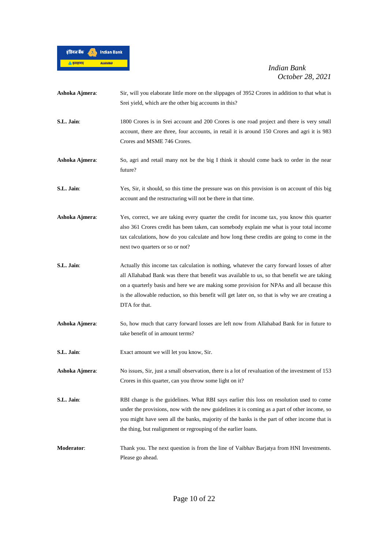

| Ashoka Ajmera: | Sir, will you elaborate little more on the slippages of 3952 Crores in addition to that what is<br>Srei yield, which are the other big accounts in this?                                                                                                                                                                                                                                                    |
|----------------|-------------------------------------------------------------------------------------------------------------------------------------------------------------------------------------------------------------------------------------------------------------------------------------------------------------------------------------------------------------------------------------------------------------|
| S.L. Jain:     | 1800 Crores is in Srei account and 200 Crores is one road project and there is very small<br>account, there are three, four accounts, in retail it is around 150 Crores and agri it is 983<br>Crores and MSME 746 Crores.                                                                                                                                                                                   |
| Ashoka Ajmera: | So, agri and retail many not be the big I think it should come back to order in the near<br>future?                                                                                                                                                                                                                                                                                                         |
| S.L. Jain:     | Yes, Sir, it should, so this time the pressure was on this provision is on account of this big<br>account and the restructuring will not be there in that time.                                                                                                                                                                                                                                             |
| Ashoka Ajmera: | Yes, correct, we are taking every quarter the credit for income tax, you know this quarter<br>also 361 Crores credit has been taken, can somebody explain me what is your total income<br>tax calculations, how do you calculate and how long these credits are going to come in the<br>next two quarters or so or not?                                                                                     |
| S.L. Jain:     | Actually this income tax calculation is nothing, whatever the carry forward losses of after<br>all Allahabad Bank was there that benefit was available to us, so that benefit we are taking<br>on a quarterly basis and here we are making some provision for NPAs and all because this<br>is the allowable reduction, so this benefit will get later on, so that is why we are creating a<br>DTA for that. |
| Ashoka Ajmera: | So, how much that carry forward losses are left now from Allahabad Bank for in future to<br>take benefit of in amount terms?                                                                                                                                                                                                                                                                                |
| S.L. Jain:     | Exact amount we will let you know, Sir.                                                                                                                                                                                                                                                                                                                                                                     |
| Ashoka Ajmera: | No issues, Sir, just a small observation, there is a lot of revaluation of the investment of 153<br>Crores in this quarter, can you throw some light on it?                                                                                                                                                                                                                                                 |
| S.L. Jain:     | RBI change is the guidelines. What RBI says earlier this loss on resolution used to come<br>under the provisions, now with the new guidelines it is coming as a part of other income, so<br>you might have seen all the banks, majority of the banks is the part of other income that is<br>the thing, but realignment or regrouping of the earlier loans.                                                  |
| Moderator:     | Thank you. The next question is from the line of Vaibhav Barjatya from HNI Investments.<br>Please go ahead.                                                                                                                                                                                                                                                                                                 |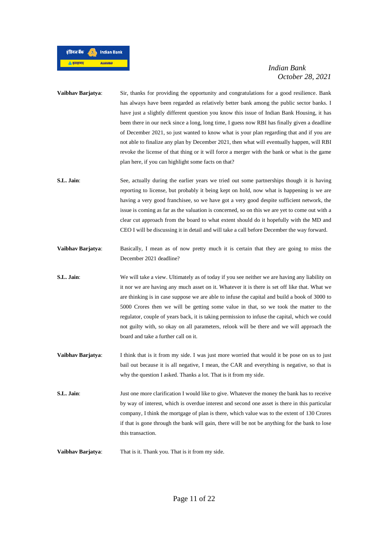

- **Vaibhav Barjatya**: Sir, thanks for providing the opportunity and congratulations for a good resilience. Bank has always have been regarded as relatively better bank among the public sector banks. I have just a slightly different question you know this issue of Indian Bank Housing, it has been there in our neck since a long, long time, I guess now RBI has finally given a deadline of December 2021, so just wanted to know what is your plan regarding that and if you are not able to finalize any plan by December 2021, then what will eventually happen, will RBI revoke the license of that thing or it will force a merger with the bank or what is the game plan here, if you can highlight some facts on that?
- **S.L. Jain:** See, actually during the earlier years we tried out some partnerships though it is having reporting to license, but probably it being kept on hold, now what is happening is we are having a very good franchisee, so we have got a very good despite sufficient network, the issue is coming as far as the valuation is concerned, so on this we are yet to come out with a clear cut approach from the board to what extent should do it hopefully with the MD and CEO I will be discussing it in detail and will take a call before December the way forward.
- **Vaibhav Barjatya:** Basically, I mean as of now pretty much it is certain that they are going to miss the December 2021 deadline?
- **S.L. Jain:** We will take a view. Ultimately as of today if you see neither we are having any liability on it nor we are having any much asset on it. Whatever it is there is set off like that. What we are thinking is in case suppose we are able to infuse the capital and build a book of 3000 to 5000 Crores then we will be getting some value in that, so we took the matter to the regulator, couple of years back, it is taking permission to infuse the capital, which we could not guilty with, so okay on all parameters, relook will be there and we will approach the board and take a further call on it.
- **Vaibhav Barjatya:** I think that is it from my side. I was just more worried that would it be pose on us to just bail out because it is all negative, I mean, the CAR and everything is negative, so that is why the question I asked. Thanks a lot. That is it from my side.
- **S.L. Jain:** Just one more clarification I would like to give. Whatever the money the bank has to receive by way of interest, which is overdue interest and second one asset is there in this particular company, I think the mortgage of plan is there, which value was to the extent of 130 Crores if that is gone through the bank will gain, there will be not be anything for the bank to lose this transaction.

**Vaibhav Barjatya**: That is it. Thank you. That is it from my side.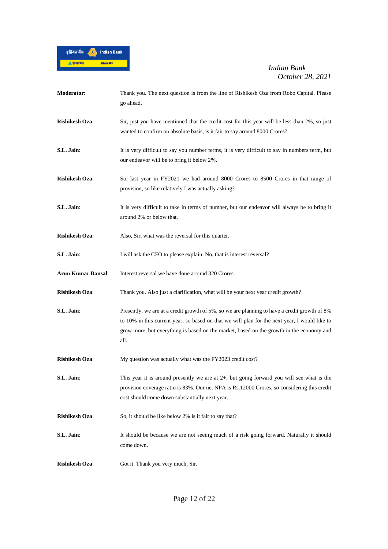

| Moderator:                | Thank you. The next question is from the line of Rishikesh Oza from Robo Capital. Please<br>go ahead.                                                                                                                                                                                             |
|---------------------------|---------------------------------------------------------------------------------------------------------------------------------------------------------------------------------------------------------------------------------------------------------------------------------------------------|
| <b>Rishikesh Oza:</b>     | Sir, just you have mentioned that the credit cost for this year will be less than 2%, so just<br>wanted to confirm on absolute basis, is it fair to say around 8000 Crores?                                                                                                                       |
| S.L. Jain:                | It is very difficult to say you number terms, it is very difficult to say in numbers term, but<br>our endeavor will be to bring it below 2%.                                                                                                                                                      |
| <b>Rishikesh Oza:</b>     | So, last year in FY2021 we had around 8000 Crores to 8500 Crores in that range of<br>provision, so like relatively I was actually asking?                                                                                                                                                         |
| S.L. Jain:                | It is very difficult to take in terms of number, but our endeavor will always be to bring it<br>around 2% or below that.                                                                                                                                                                          |
| <b>Rishikesh Oza:</b>     | Also, Sir, what was the reversal for this quarter.                                                                                                                                                                                                                                                |
| S.L. Jain:                | I will ask the CFO to please explain. No, that is interest reversal?                                                                                                                                                                                                                              |
| <b>Arun Kumar Bansal:</b> | Interest reversal we have done around 320 Crores.                                                                                                                                                                                                                                                 |
| <b>Rishikesh Oza:</b>     | Thank you. Also just a clarification, what will be your next year credit growth?                                                                                                                                                                                                                  |
| S.L. Jain:                | Presently, we are at a credit growth of 5%, so we are planning to have a credit growth of 8%<br>to 10% in this current year, so based on that we will plan for the next year, I would like to<br>grow more, but everything is based on the market, based on the growth in the economy and<br>all. |
| <b>Rishikesh Oza:</b>     | My question was actually what was the FY2023 credit cost?                                                                                                                                                                                                                                         |
| S.L. Jain:                | This year it is around presently we are at $2+$ , but going forward you will see what is the<br>provision coverage ratio is 83%. Our net NPA is Rs.12000 Crores, so considering this credit<br>cost should come down substantially next year.                                                     |
| <b>Rishikesh Oza:</b>     | So, it should be like below 2% is it fair to say that?                                                                                                                                                                                                                                            |
| S.L. Jain:                | It should be because we are not seeing much of a risk going forward. Naturally it should<br>come down.                                                                                                                                                                                            |
| <b>Rishikesh Oza:</b>     | Got it. Thank you very much, Sir.                                                                                                                                                                                                                                                                 |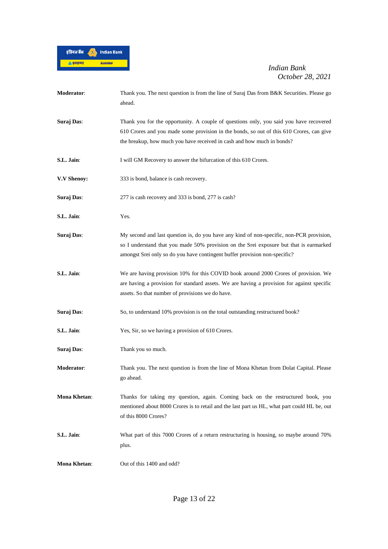

| Moderator:          | Thank you. The next question is from the line of Suraj Das from B&K Securities. Please go<br>ahead.                                                                                                                                                              |
|---------------------|------------------------------------------------------------------------------------------------------------------------------------------------------------------------------------------------------------------------------------------------------------------|
| Suraj Das:          | Thank you for the opportunity. A couple of questions only, you said you have recovered<br>610 Crores and you made some provision in the bonds, so out of this 610 Crores, can give<br>the breakup, how much you have received in cash and how much in bonds?     |
| S.L. Jain:          | I will GM Recovery to answer the bifurcation of this 610 Crores.                                                                                                                                                                                                 |
| V.V Shenoy:         | 333 is bond, balance is cash recovery.                                                                                                                                                                                                                           |
| Suraj Das:          | 277 is cash recovery and 333 is bond, 277 is cash?                                                                                                                                                                                                               |
| S.L. Jain:          | Yes.                                                                                                                                                                                                                                                             |
| Suraj Das:          | My second and last question is, do you have any kind of non-specific, non-PCR provision,<br>so I understand that you made 50% provision on the Srei exposure but that is earmarked<br>amongst Srei only so do you have contingent buffer provision non-specific? |
| S.L. Jain:          | We are having provision 10% for this COVID book around 2000 Crores of provision. We<br>are having a provision for standard assets. We are having a provision for against specific<br>assets. So that number of provisions we do have.                            |
| Suraj Das:          | So, to understand 10% provision is on the total outstanding restructured book?                                                                                                                                                                                   |
| S.L. Jain:          | Yes, Sir, so we having a provision of 610 Crores.                                                                                                                                                                                                                |
| Suraj Das:          | Thank you so much.                                                                                                                                                                                                                                               |
| <b>Moderator:</b>   | Thank you. The next question is from the line of Mona Khetan from Dolat Capital. Please<br>go ahead.                                                                                                                                                             |
| <b>Mona Khetan:</b> | Thanks for taking my question, again. Coming back on the restructured book, you<br>mentioned about 8000 Crores is to retail and the last part us HL, what part could HL be, out<br>of this 8000 Crores?                                                          |
| S.L. Jain:          | What part of this 7000 Crores of a return restructuring is housing, so maybe around 70%<br>plus.                                                                                                                                                                 |
| <b>Mona Khetan:</b> | Out of this 1400 and odd?                                                                                                                                                                                                                                        |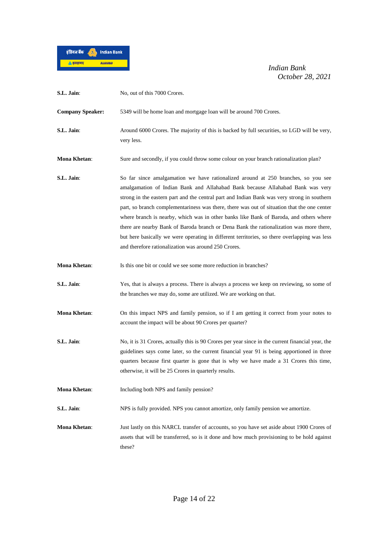

| S.L. Jain:              | No, out of this 7000 Crores.                                                                                                                                                                                                                                                                                                                                                                                                                                                                                                                                                                                                                                                                                   |
|-------------------------|----------------------------------------------------------------------------------------------------------------------------------------------------------------------------------------------------------------------------------------------------------------------------------------------------------------------------------------------------------------------------------------------------------------------------------------------------------------------------------------------------------------------------------------------------------------------------------------------------------------------------------------------------------------------------------------------------------------|
| <b>Company Speaker:</b> | 5349 will be home loan and mortgage loan will be around 700 Crores.                                                                                                                                                                                                                                                                                                                                                                                                                                                                                                                                                                                                                                            |
| S.L. Jain:              | Around 6000 Crores. The majority of this is backed by full securities, so LGD will be very,<br>very less.                                                                                                                                                                                                                                                                                                                                                                                                                                                                                                                                                                                                      |
| <b>Mona Khetan:</b>     | Sure and secondly, if you could throw some colour on your branch rationalization plan?                                                                                                                                                                                                                                                                                                                                                                                                                                                                                                                                                                                                                         |
| S.L. Jain:              | So far since amalgamation we have rationalized around at 250 branches, so you see<br>amalgamation of Indian Bank and Allahabad Bank because Allahabad Bank was very<br>strong in the eastern part and the central part and Indian Bank was very strong in southern<br>part, so branch complementariness was there, there was out of situation that the one center<br>where branch is nearby, which was in other banks like Bank of Baroda, and others where<br>there are nearby Bank of Baroda branch or Dena Bank the rationalization was more there,<br>but here basically we were operating in different territories, so there overlapping was less<br>and therefore rationalization was around 250 Crores. |
| <b>Mona Khetan:</b>     | Is this one bit or could we see some more reduction in branches?                                                                                                                                                                                                                                                                                                                                                                                                                                                                                                                                                                                                                                               |
| S.L. Jain:              | Yes, that is always a process. There is always a process we keep on reviewing, so some of<br>the branches we may do, some are utilized. We are working on that.                                                                                                                                                                                                                                                                                                                                                                                                                                                                                                                                                |
| <b>Mona Khetan:</b>     | On this impact NPS and family pension, so if I am getting it correct from your notes to<br>account the impact will be about 90 Crores per quarter?                                                                                                                                                                                                                                                                                                                                                                                                                                                                                                                                                             |
| S.L. Jain:              | No, it is 31 Crores, actually this is 90 Crores per year since in the current financial year, the<br>guidelines says come later, so the current financial year 91 is being apportioned in three<br>quarters because first quarter is gone that is why we have made a 31 Crores this time,<br>otherwise, it will be 25 Crores in quarterly results.                                                                                                                                                                                                                                                                                                                                                             |
| <b>Mona Khetan:</b>     | Including both NPS and family pension?                                                                                                                                                                                                                                                                                                                                                                                                                                                                                                                                                                                                                                                                         |
| S.L. Jain:              | NPS is fully provided. NPS you cannot amortize, only family pension we amortize.                                                                                                                                                                                                                                                                                                                                                                                                                                                                                                                                                                                                                               |
| <b>Mona Khetan:</b>     | Just lastly on this NARCL transfer of accounts, so you have set aside about 1900 Crores of<br>assets that will be transferred, so is it done and how much provisioning to be hold against<br>these?                                                                                                                                                                                                                                                                                                                                                                                                                                                                                                            |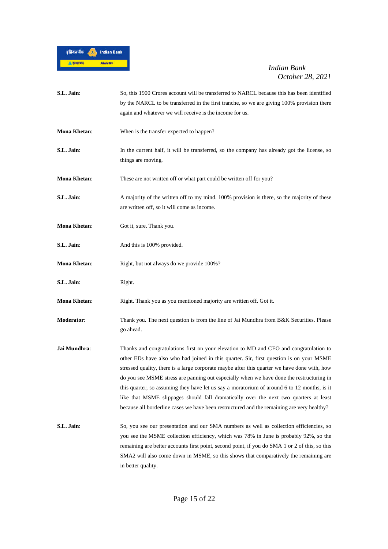

| S.L. Jain:          | So, this 1900 Crores account will be transferred to NARCL because this has been identified<br>by the NARCL to be transferred in the first tranche, so we are giving 100% provision there<br>again and whatever we will receive is the income for us.                                                                                                                                                                                                                                                                                                                                                                                                                |
|---------------------|---------------------------------------------------------------------------------------------------------------------------------------------------------------------------------------------------------------------------------------------------------------------------------------------------------------------------------------------------------------------------------------------------------------------------------------------------------------------------------------------------------------------------------------------------------------------------------------------------------------------------------------------------------------------|
| <b>Mona Khetan:</b> | When is the transfer expected to happen?                                                                                                                                                                                                                                                                                                                                                                                                                                                                                                                                                                                                                            |
| S.L. Jain:          | In the current half, it will be transferred, so the company has already got the license, so<br>things are moving.                                                                                                                                                                                                                                                                                                                                                                                                                                                                                                                                                   |
| <b>Mona Khetan:</b> | These are not written off or what part could be written off for you?                                                                                                                                                                                                                                                                                                                                                                                                                                                                                                                                                                                                |
| S.L. Jain:          | A majority of the written off to my mind. 100% provision is there, so the majority of these<br>are written off, so it will come as income.                                                                                                                                                                                                                                                                                                                                                                                                                                                                                                                          |
| Mona Khetan:        | Got it, sure. Thank you.                                                                                                                                                                                                                                                                                                                                                                                                                                                                                                                                                                                                                                            |
| S.L. Jain:          | And this is 100% provided.                                                                                                                                                                                                                                                                                                                                                                                                                                                                                                                                                                                                                                          |
| <b>Mona Khetan:</b> | Right, but not always do we provide 100%?                                                                                                                                                                                                                                                                                                                                                                                                                                                                                                                                                                                                                           |
| S.L. Jain:          | Right.                                                                                                                                                                                                                                                                                                                                                                                                                                                                                                                                                                                                                                                              |
| <b>Mona Khetan:</b> | Right. Thank you as you mentioned majority are written off. Got it.                                                                                                                                                                                                                                                                                                                                                                                                                                                                                                                                                                                                 |
| Moderator:          | Thank you. The next question is from the line of Jai Mundhra from B&K Securities. Please<br>go ahead.                                                                                                                                                                                                                                                                                                                                                                                                                                                                                                                                                               |
| Jai Mundhra:        | Thanks and congratulations first on your elevation to MD and CEO and congratulation to<br>other EDs have also who had joined in this quarter. Sir, first question is on your MSME<br>stressed quality, there is a large corporate maybe after this quarter we have done with, how<br>do you see MSME stress are panning out especially when we have done the restructuring in<br>this quarter, so assuming they have let us say a moratorium of around 6 to 12 months, is it<br>like that MSME slippages should fall dramatically over the next two quarters at least<br>because all borderline cases we have been restructured and the remaining are very healthy? |
| S.L. Jain:          | So, you see our presentation and our SMA numbers as well as collection efficiencies, so<br>you see the MSME collection efficiency, which was 78% in June is probably 92%, so the<br>remaining are better accounts first point, second point, if you do SMA 1 or 2 of this, so this<br>SMA2 will also come down in MSME, so this shows that comparatively the remaining are<br>in better quality.                                                                                                                                                                                                                                                                    |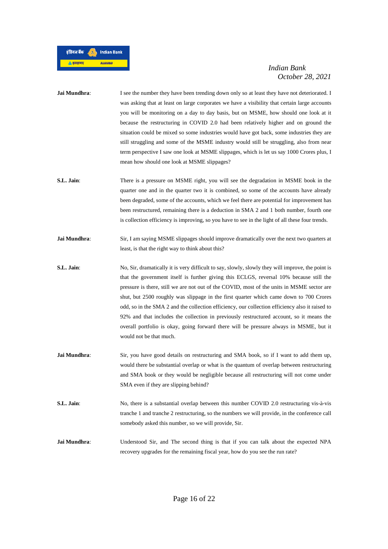

- **Jai Mundhra:** I see the number they have been trending down only so at least they have not deteriorated. I was asking that at least on large corporates we have a visibility that certain large accounts you will be monitoring on a day to day basis, but on MSME, how should one look at it because the restructuring in COVID 2.0 had been relatively higher and on ground the situation could be mixed so some industries would have got back, some industries they are still struggling and some of the MSME industry would still be struggling, also from near term perspective I saw one look at MSME slippages, which is let us say 1000 Crores plus, I mean how should one look at MSME slippages?
- **S.L. Jain**: There is a pressure on MSME right, you will see the degradation in MSME book in the quarter one and in the quarter two it is combined, so some of the accounts have already been degraded, some of the accounts, which we feel there are potential for improvement has been restructured, remaining there is a deduction in SMA 2 and 1 both number, fourth one is collection efficiency is improving, so you have to see in the light of all these four trends.
- **Jai Mundhra:** Sir, I am saying MSME slippages should improve dramatically over the next two quarters at least, is that the right way to think about this?
- **S.L. Jain:** No, Sir, dramatically it is very difficult to say, slowly, slowly they will improve, the point is that the government itself is further giving this ECLGS, reversal 10% because still the pressure is there, still we are not out of the COVID, most of the units in MSME sector are shut, but 2500 roughly was slippage in the first quarter which came down to 700 Crores odd, so in the SMA 2 and the collection efficiency, our collection efficiency also it raised to 92% and that includes the collection in previously restructured account, so it means the overall portfolio is okay, going forward there will be pressure always in MSME, but it would not be that much.
- **Jai Mundhra:** Sir, you have good details on restructuring and SMA book, so if I want to add them up, would there be substantial overlap or what is the quantum of overlap between restructuring and SMA book or they would be negligible because all restructuring will not come under SMA even if they are slipping behind?
- **S.L. Jain**: No, there is a substantial overlap between this number COVID 2.0 restructuring vis-à-vis tranche 1 and tranche 2 restructuring, so the numbers we will provide, in the conference call somebody asked this number, so we will provide, Sir.
- **Jai Mundhra:** Understood Sir, and The second thing is that if you can talk about the expected NPA recovery upgrades for the remaining fiscal year, how do you see the run rate?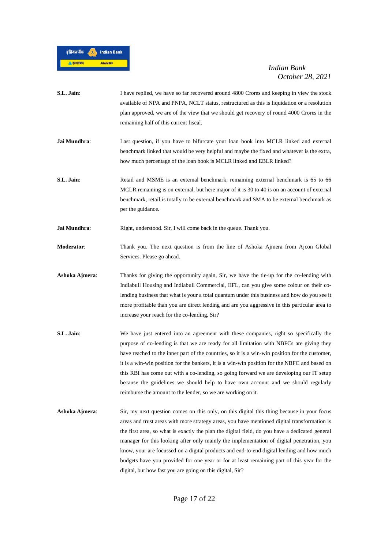

- **S.L. Jain:** I have replied, we have so far recovered around 4800 Crores and keeping in view the stock available of NPA and PNPA, NCLT status, restructured as this is liquidation or a resolution plan approved, we are of the view that we should get recovery of round 4000 Crores in the remaining half of this current fiscal.
- **Jai Mundhra:** Last question, if you have to bifurcate your loan book into MCLR linked and external benchmark linked that would be very helpful and maybe the fixed and whatever is the extra, how much percentage of the loan book is MCLR linked and EBLR linked?
- **S.L. Jain:** Retail and MSME is an external benchmark, remaining external benchmark is 65 to 66 MCLR remaining is on external, but here major of it is 30 to 40 is on an account of external benchmark, retail is totally to be external benchmark and SMA to be external benchmark as per the guidance.

**Jai Mundhra:** Right, understood. Sir, I will come back in the queue. Thank you.

- **Moderator**: Thank you. The next question is from the line of Ashoka Ajmera from Ajcon Global Services. Please go ahead.
- **Ashoka Ajmera**: Thanks for giving the opportunity again, Sir, we have the tie-up for the co-lending with Indiabull Housing and Indiabull Commercial, IIFL, can you give some colour on their colending business that what is your a total quantum under this business and how do you see it more profitable than you are direct lending and are you aggressive in this particular area to increase your reach for the co-lending, Sir?
- **S.L. Jain**: We have just entered into an agreement with these companies, right so specifically the purpose of co-lending is that we are ready for all limitation with NBFCs are giving they have reached to the inner part of the countries, so it is a win-win position for the customer, it is a win-win position for the bankers, it is a win-win position for the NBFC and based on this RBI has come out with a co-lending, so going forward we are developing our IT setup because the guidelines we should help to have own account and we should regularly reimburse the amount to the lender, so we are working on it.
- **Ashoka Ajmera**: Sir, my next question comes on this only, on this digital this thing because in your focus areas and trust areas with more strategy areas, you have mentioned digital transformation is the first area, so what is exactly the plan the digital field, do you have a dedicated general manager for this looking after only mainly the implementation of digital penetration, you know, your are focussed on a digital products and end-to-end digital lending and how much budgets have you provided for one year or for at least remaining part of this year for the digital, but how fast you are going on this digital, Sir?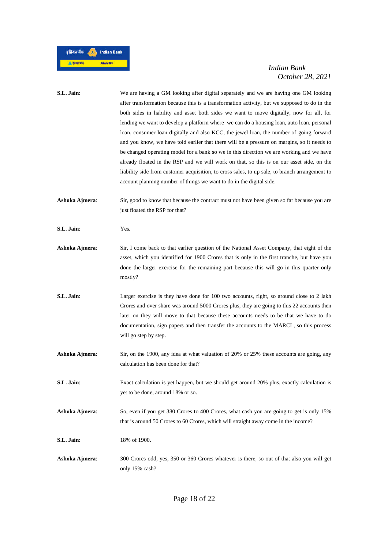

| S.L. Jain:     | We are having a GM looking after digital separately and we are having one GM looking<br>after transformation because this is a transformation activity, but we supposed to do in the<br>both sides in liability and asset both sides we want to move digitally, now for all, for<br>lending we want to develop a platform where we can do a housing loan, auto loan, personal<br>loan, consumer loan digitally and also KCC, the jewel loan, the number of going forward<br>and you know, we have told earlier that there will be a pressure on margins, so it needs to<br>be changed operating model for a bank so we in this direction we are working and we have<br>already floated in the RSP and we will work on that, so this is on our asset side, on the<br>liability side from customer acquisition, to cross sales, to up sale, to branch arrangement to<br>account planning number of things we want to do in the digital side. |
|----------------|--------------------------------------------------------------------------------------------------------------------------------------------------------------------------------------------------------------------------------------------------------------------------------------------------------------------------------------------------------------------------------------------------------------------------------------------------------------------------------------------------------------------------------------------------------------------------------------------------------------------------------------------------------------------------------------------------------------------------------------------------------------------------------------------------------------------------------------------------------------------------------------------------------------------------------------------|
| Ashoka Ajmera: | Sir, good to know that because the contract must not have been given so far because you are<br>just floated the RSP for that?                                                                                                                                                                                                                                                                                                                                                                                                                                                                                                                                                                                                                                                                                                                                                                                                              |
| S.L. Jain:     | Yes.                                                                                                                                                                                                                                                                                                                                                                                                                                                                                                                                                                                                                                                                                                                                                                                                                                                                                                                                       |
| Ashoka Ajmera: | Sir, I come back to that earlier question of the National Asset Company, that eight of the<br>asset, which you identified for 1900 Crores that is only in the first tranche, but have you<br>done the larger exercise for the remaining part because this will go in this quarter only<br>mostly?                                                                                                                                                                                                                                                                                                                                                                                                                                                                                                                                                                                                                                          |
| S.L. Jain:     | Larger exercise is they have done for 100 two accounts, right, so around close to 2 lakh<br>Crores and over share was around 5000 Crores plus, they are going to this 22 accounts then<br>later on they will move to that because these accounts needs to be that we have to do<br>documentation, sign papers and then transfer the accounts to the MARCL, so this process<br>will go step by step.                                                                                                                                                                                                                                                                                                                                                                                                                                                                                                                                        |
| Ashoka Ajmera: | Sir, on the 1900, any idea at what valuation of 20% or 25% these accounts are going, any<br>calculation has been done for that?                                                                                                                                                                                                                                                                                                                                                                                                                                                                                                                                                                                                                                                                                                                                                                                                            |
| S.L. Jain:     | Exact calculation is yet happen, but we should get around 20% plus, exactly calculation is<br>yet to be done, around 18% or so.                                                                                                                                                                                                                                                                                                                                                                                                                                                                                                                                                                                                                                                                                                                                                                                                            |
| Ashoka Ajmera: | So, even if you get 380 Crores to 400 Crores, what cash you are going to get is only 15%<br>that is around 50 Crores to 60 Crores, which will straight away come in the income?                                                                                                                                                                                                                                                                                                                                                                                                                                                                                                                                                                                                                                                                                                                                                            |
| S.L. Jain:     | 18% of 1900.                                                                                                                                                                                                                                                                                                                                                                                                                                                                                                                                                                                                                                                                                                                                                                                                                                                                                                                               |
| Ashoka Ajmera: | 300 Crores odd, yes, 350 or 360 Crores whatever is there, so out of that also you will get<br>only 15% cash?                                                                                                                                                                                                                                                                                                                                                                                                                                                                                                                                                                                                                                                                                                                                                                                                                               |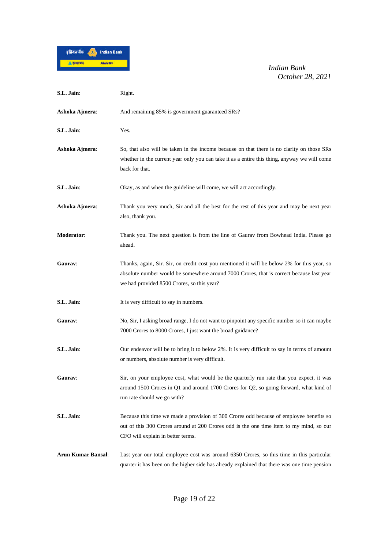

| S.L. Jain:                | Right.                                                                                                                                                                                                                                |
|---------------------------|---------------------------------------------------------------------------------------------------------------------------------------------------------------------------------------------------------------------------------------|
| Ashoka Ajmera:            | And remaining 85% is government guaranteed SRs?                                                                                                                                                                                       |
| S.L. Jain:                | Yes.                                                                                                                                                                                                                                  |
| Ashoka Ajmera:            | So, that also will be taken in the income because on that there is no clarity on those SRs<br>whether in the current year only you can take it as a entire this thing, anyway we will come<br>back for that.                          |
| S.L. Jain:                | Okay, as and when the guideline will come, we will act accordingly.                                                                                                                                                                   |
| Ashoka Ajmera:            | Thank you very much, Sir and all the best for the rest of this year and may be next year<br>also, thank you.                                                                                                                          |
| <b>Moderator:</b>         | Thank you. The next question is from the line of Gaurav from Bowhead India. Please go<br>ahead.                                                                                                                                       |
| Gaurav:                   | Thanks, again, Sir. Sir, on credit cost you mentioned it will be below 2% for this year, so<br>absolute number would be somewhere around 7000 Crores, that is correct because last year<br>we had provided 8500 Crores, so this year? |
| S.L. Jain:                | It is very difficult to say in numbers.                                                                                                                                                                                               |
| Gaurav:                   | No, Sir, I asking broad range, I do not want to pinpoint any specific number so it can maybe<br>7000 Crores to 8000 Crores, I just want the broad guidance?                                                                           |
| S.L. Jain:                | Our endeavor will be to bring it to below 2%. It is very difficult to say in terms of amount<br>or numbers, absolute number is very difficult.                                                                                        |
| Gaurav:                   | Sir, on your employee cost, what would be the quarterly run rate that you expect, it was<br>around 1500 Crores in $Q1$ and around 1700 Crores for $Q2$ , so going forward, what kind of<br>run rate should we go with?                |
| S.L. Jain:                | Because this time we made a provision of 300 Crores odd because of employee benefits so<br>out of this 300 Crores around at 200 Crores odd is the one time item to my mind, so our<br>CFO will explain in better terms.               |
| <b>Arun Kumar Bansal:</b> | Last year our total employee cost was around 6350 Crores, so this time in this particular<br>quarter it has been on the higher side has already explained that there was one time pension                                             |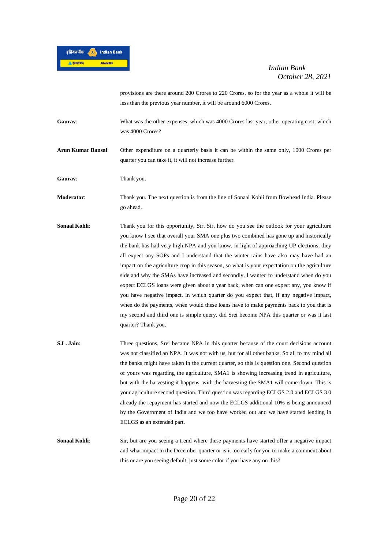

provisions are there around 200 Crores to 220 Crores, so for the year as a whole it will be less than the previous year number, it will be around 6000 Crores.

Gaurav: What was the other expenses, which was 4000 Crores last year, other operating cost, which was 4000 Crores?

**Arun Kumar Bansal**: Other expenditure on a quarterly basis it can be within the same only, 1000 Crores per quarter you can take it, it will not increase further.

**Gaurav**: Thank you.

**Moderator**: Thank you. The next question is from the line of Sonaal Kohli from Bowhead India. Please go ahead.

- **Sonaal Kohli:** Thank you for this opportunity, Sir. Sir, how do you see the outlook for your agriculture you know I see that overall your SMA one plus two combined has gone up and historically the bank has had very high NPA and you know, in light of approaching UP elections, they all expect any SOPs and I understand that the winter rains have also may have had an impact on the agriculture crop in this season, so what is your expectation on the agriculture side and why the SMAs have increased and secondly, I wanted to understand when do you expect ECLGS loans were given about a year back, when can one expect any, you know if you have negative impact, in which quarter do you expect that, if any negative impact, when do the payments, when would these loans have to make payments back to you that is my second and third one is simple query, did Srei become NPA this quarter or was it last quarter? Thank you.
- **S.L. Jain:** Three questions, Srei became NPA in this quarter because of the court decisions account was not classified an NPA. It was not with us, but for all other banks. So all to my mind all the banks might have taken in the current quarter, so this is question one. Second question of yours was regarding the agriculture, SMA1 is showing increasing trend in agriculture, but with the harvesting it happens, with the harvesting the SMA1 will come down. This is your agriculture second question. Third question was regarding ECLGS 2.0 and ECLGS 3.0 already the repayment has started and now the ECLGS additional 10% is being announced by the Government of India and we too have worked out and we have started lending in ECLGS as an extended part.

**Sonaal Kohli:** Sir, but are you seeing a trend where these payments have started offer a negative impact and what impact in the December quarter or is it too early for you to make a comment about this or are you seeing default, just some color if you have any on this?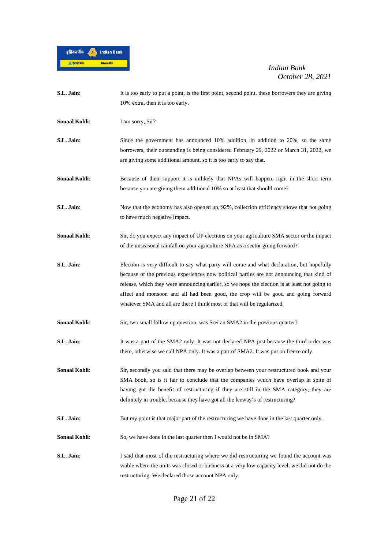

| S.L. Jain:           | It is too early to put a point, is the first point, second point, these borrowers they are giving |
|----------------------|---------------------------------------------------------------------------------------------------|
|                      | 10% extra, then it is too early.                                                                  |
| <b>Sonaal Kohli:</b> | I am sorry, Sir?                                                                                  |
| S.L. Jain:           | Since the government has announced 10% addition, in addition to 20%, so the same                  |
|                      | borrowers, their outstanding is being considered February 29, 2022 or March 31, 2022, we          |
|                      | are giving some additional amount, so it is too early to say that.                                |
| <b>Sonaal Kohli:</b> | Because of their support it is unlikely that NPAs will happen, right in the short term            |
|                      | because you are giving them additional 10% so at least that should come?                          |
| S.L. Jain:           | Now that the economy has also opened up, 92%, collection efficiency shows that not going          |
|                      | to have much negative impact.                                                                     |
| <b>Sonaal Kohli:</b> | Sir, do you expect any impact of UP elections on your agriculture SMA sector or the impact        |
|                      | of the unseasonal rainfall on your agriculture NPA as a sector going forward?                     |
| S.L. Jain:           | Election is very difficult to say what party will come and what declaration, but hopefully        |
|                      | because of the previous experiences now political parties are not announcing that kind of         |
|                      | release, which they were announcing earlier, so we hope the election is at least not going to     |
|                      | affect and monsoon and all had been good, the crop will be good and going forward                 |
|                      | whatever SMA and all are there I think most of that will be regularized.                          |
| <b>Sonaal Kohli:</b> | Sir, two small follow up question, was Srei an SMA2 in the previous quarter?                      |
| S.L. Jain:           | It was a part of the SMA2 only. It was not declared NPA just because the third order was          |
|                      | there, otherwise we call NPA only. It was a part of SMA2. It was put on freeze only.              |
| <b>Sonaal Kohli:</b> | Sir, secondly you said that there may be overlap between your restructured book and your          |
|                      | SMA book, so is it fair to conclude that the companies which have overlap in spite of             |
|                      | having got the benefit of restructuring if they are still in the SMA category, they are           |
|                      | definitely in trouble, because they have got all the leeway's of restructuring?                   |
| S.L. Jain:           | But my point is that major part of the restructuring we have done in the last quarter only.       |
| <b>Sonaal Kohli:</b> | So, we have done in the last quarter then I would not be in SMA?                                  |
| S.L. Jain:           | I said that most of the restructuring where we did restructuring we found the account was         |
|                      | viable where the units was closed or business at a very low capacity level, we did not do the     |
|                      | restructuring. We declared those account NPA only.                                                |